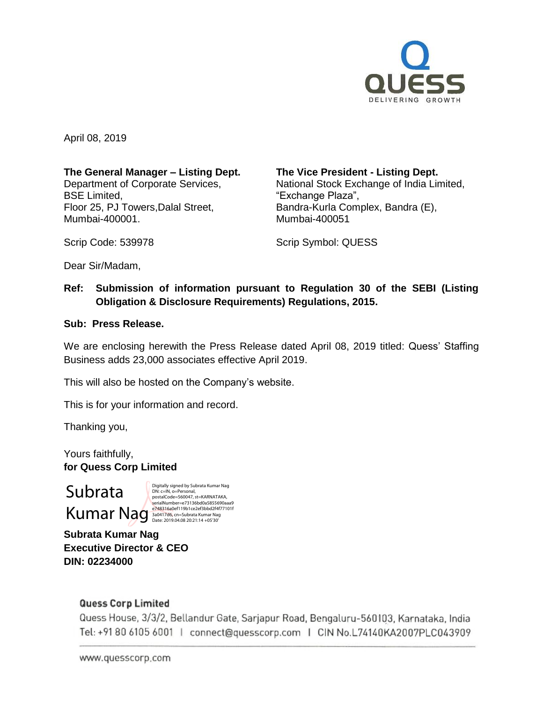

April 08, 2019

### **The General Manager – Listing Dept.**

Department of Corporate Services, BSE Limited, Floor 25, PJ Towers,Dalal Street, Mumbai-400001.

**The Vice President - Listing Dept.**

National Stock Exchange of India Limited, "Exchange Plaza", Bandra-Kurla Complex, Bandra (E), Mumbai-400051

Scrip Code: 539978

Scrip Symbol: QUESS

Dear Sir/Madam,

# **Ref: Submission of information pursuant to Regulation 30 of the SEBI (Listing Obligation & Disclosure Requirements) Regulations, 2015.**

#### **Sub: Press Release.**

We are enclosing herewith the Press Release dated April 08, 2019 titled: Quess' Staffing Business adds 23,000 associates effective April 2019.

This will also be hosted on the Company's website.

This is for your information and record.

Thanking you,

Yours faithfully, **for Quess Corp Limited**

# Subrata

 ${\bf Kum} \leftarrow {\bf Numary} \hspace{-0.3em} \leftarrow {\bf Numary} \hspace{-0.3em} \leftarrow {\bf Numary} \hspace{-0.3em} \leftarrow {\bf Numary} \hspace{-0.3em} \leftarrow {\bf Numary} \hspace{-0.3em} \leftarrow {\bf Numary} \hspace{-0.3em} \leftarrow {\bf Numary} \hspace{-0.3em} \leftarrow {\bf Numary} \hspace{-0.3em} \leftarrow {\bf Numary} \hspace{-0.3em} \leftarrow {\bf Numary} \hspace{-0.3em} \leftarrow {\bf Numary} \hspace{-0.3em} \leftarrow {\bf Annary} \hspace{-0.3em} \leftarrow {\bf Annary} \hspace{-$ Digitally signed by Subrata Kumar Nag DN: c=IN, o=Personal, postalCode=560047, st=KARNATAKA,

**Subrata Kumar Nag Executive Director & CEO DIN: 02234000**

#### **Quess Corp Limited**

Quess House, 3/3/2, Bellandur Gate, Sarjapur Road, Bengaluru-560103, Karnataka, India Tel: +91 80 6105 6001 | connect@quesscorp.com | CIN No.L74140KA2007PLC043909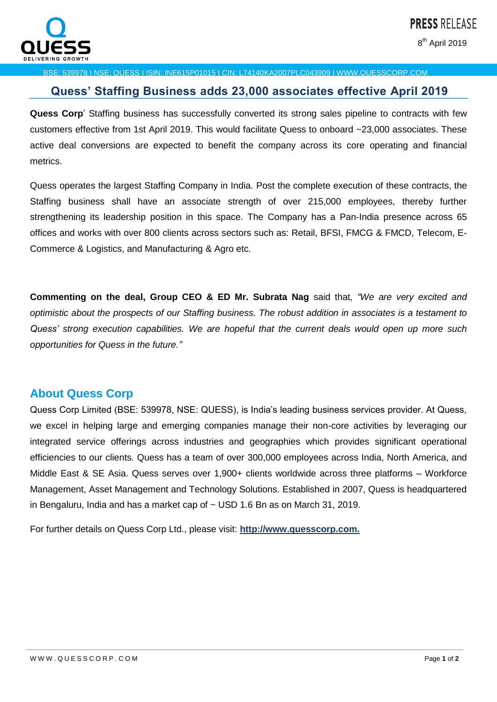

8<sup>th</sup> April 2019

#### BSE: 539978 I NSE: QUESS I ISIN: INE615P01015 I CIN: L74140KA2007PLC043909 I WWW.QUESSCORP.COM

# **Quess' Staffing Business adds 23,000 associates effective April 2019**

**Quess Corp**' Staffing business has successfully converted its strong sales pipeline to contracts with few customers effective from 1st April 2019. This would facilitate Quess to onboard ~23,000 associates. These active deal conversions are expected to benefit the company across its core operating and financial metrics.

Quess operates the largest Staffing Company in India. Post the complete execution of these contracts, the Staffing business shall have an associate strength of over 215,000 employees, thereby further strengthening its leadership position in this space. The Company has a Pan-India presence across 65 offices and works with over 800 clients across sectors such as: Retail, BFSI, FMCG & FMCD, Telecom, E-Commerce & Logistics, and Manufacturing & Agro etc.

**Commenting on the deal, Group CEO & ED Mr. Subrata Nag** said that*, "We are very excited and optimistic about the prospects of our Staffing business. The robust addition in associates is a testament to Quess' strong execution capabilities. We are hopeful that the current deals would open up more such opportunities for Quess in the future."*

# **About Quess Corp**

Quess Corp Limited (BSE: 539978, NSE: QUESS), is India's leading business services provider. At Quess, we excel in helping large and emerging companies manage their non-core activities by leveraging our integrated service offerings across industries and geographies which provides significant operational efficiencies to our clients. Quess has a team of over 300,000 employees across India, North America, and Middle East & SE Asia. Quess serves over 1,900+ clients worldwide across three platforms – Workforce Management, Asset Management and Technology Solutions. Established in 2007, Quess is headquartered in Bengaluru, India and has a market cap of  $\sim$  USD 1.6 Bn as on March 31, 2019.

For further details on Quess Corp Ltd., please visit: **[http://www.quesscorp.com.](http://www.quesscorp.com/)**